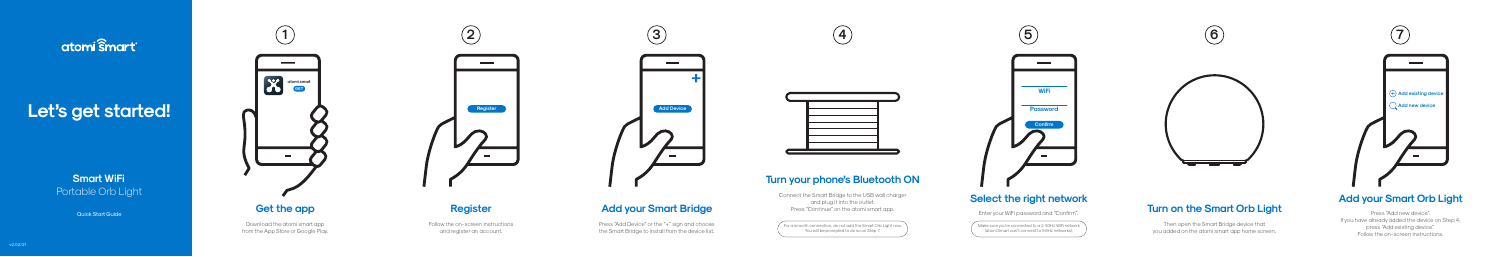# atomi smart

# Let's get started!

**Smart WiFi** Portable Orb Light

**Quick Start Guide** 

Download the atomi smart app from the App Store or Google Play.



Press "Add Device" or the "+" sign and choose the Smart Bridge to install from the device list.





Follow the on-screen instructions and register an account.



Make sure you're connected to a 2.4GHz WiFi network (atomi Smart can't connect to 5GHz networks).



## **Turn on the Smart Orb Light**

Then open the Smart Bridge device that you added on the atomi smart app home screen.

Press "Add new device". If you have already added the device on Step 4, press "Add existing device". Follow the on-screen instructions.



## **Add your Smart Orb Light**

 $^\prime\,$  For a smooth connection, do not add the Smart Orb Light now. You will be prompted to do so on Step 7.





## **Select the right network**

Enter your WiFi password and "Confirm".

## **Turn your phone's Bluetooth ON**

Connect the Smart Bridge to the USB wall charger and plug it into the outlet. Press "Continue" on the atomi smart app.